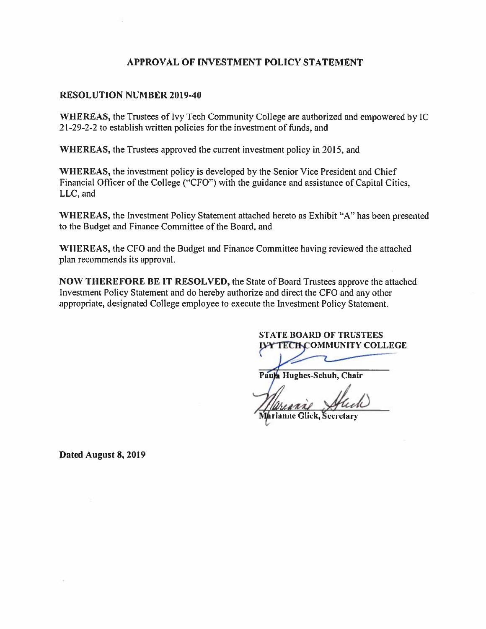#### APPROVAL OF INVESTMENT POLICY STATEMENT

#### **RESOLUTION NUMBER 2019-40**

WHEREAS, the Trustees of Ivy Tech Community College are authorized and empowered by IC 21-29-2-2 to establish written policies for the investment of funds, and

WHEREAS, the Trustees approved the current investment policy in 2015, and

WHEREAS, the investment policy is developed by the Senior Vice President and Chief Financial Officer of the College ("CFO") with the guidance and assistance of Capital Cities, LLC, and

WHEREAS, the Investment Policy Statement attached hereto as Exhibit "A" has been presented to the Budget and Finance Committee of the Board, and

WHEREAS, the CFO and the Budget and Finance Committee having reviewed the attached plan recommends its approval.

**NOW THEREFORE BE IT RESOLVED, the State of Board Trustees approve the attached** Investment Policy Statement and do hereby authorize and direct the CFO and any other appropriate, designated College employee to execute the Investment Policy Statement.

#### **STATE BOARD OF TRUSTEES IJAY TECH COMMUNITY COLLEGE**

Paula Hughes-Schuh, Chair

Marianne Glick, Secretary

Dated August 8, 2019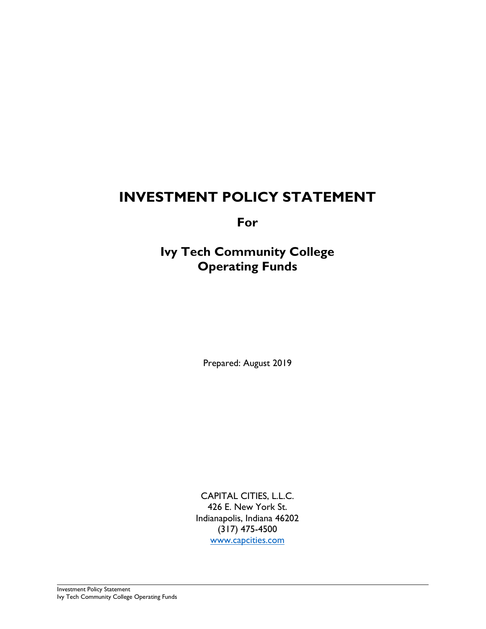## **INVESTMENT POLICY STATEMENT**

**For**

**Ivy Tech Community College Operating Funds**

Prepared: August 2019

CAPITAL CITIES, L.L.C. 426 E. New York St. Indianapolis, Indiana 46202 (317) 475-4500 [www.capcities.com](http://www.capcities.com/)

Investment Policy Statement Ivy Tech Community College Operating Funds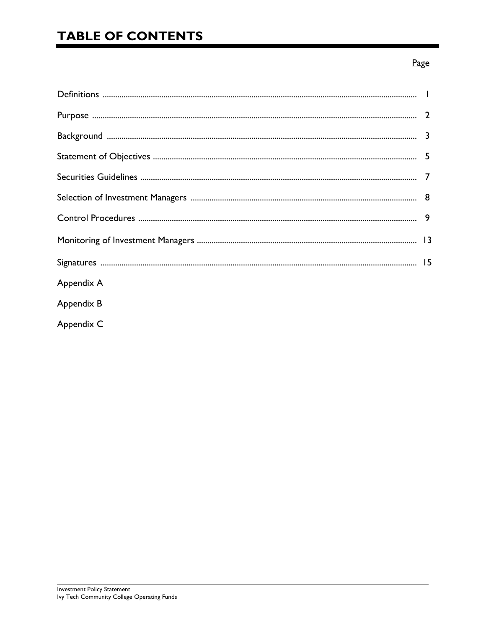# **TABLE OF CONTENTS**

#### Page

| Appendix A |  |
|------------|--|
| Appendix B |  |
| Appendix C |  |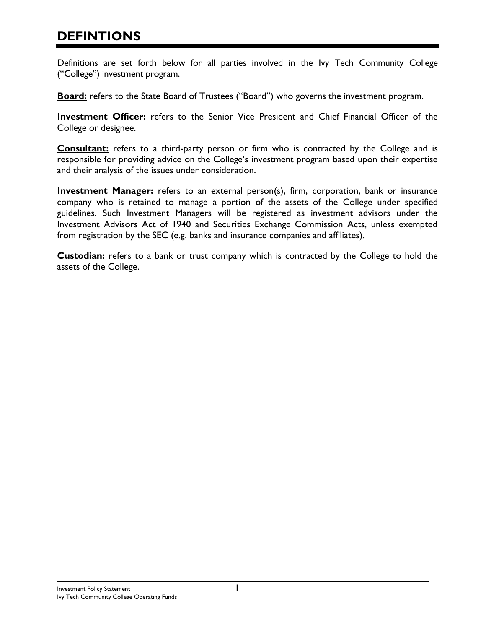## **DEFINTIONS**

Definitions are set forth below for all parties involved in the Ivy Tech Community College ("College") investment program.

**Board:** refers to the State Board of Trustees ("Board") who governs the investment program.

**Investment Officer:** refers to the Senior Vice President and Chief Financial Officer of the College or designee.

**Consultant:** refers to a third-party person or firm who is contracted by the College and is responsible for providing advice on the College's investment program based upon their expertise and their analysis of the issues under consideration.

**Investment Manager:** refers to an external person(s), firm, corporation, bank or insurance company who is retained to manage a portion of the assets of the College under specified guidelines. Such Investment Managers will be registered as investment advisors under the Investment Advisors Act of 1940 and Securities Exchange Commission Acts, unless exempted from registration by the SEC (e.g. banks and insurance companies and affiliates).

**Custodian:** refers to a bank or trust company which is contracted by the College to hold the assets of the College.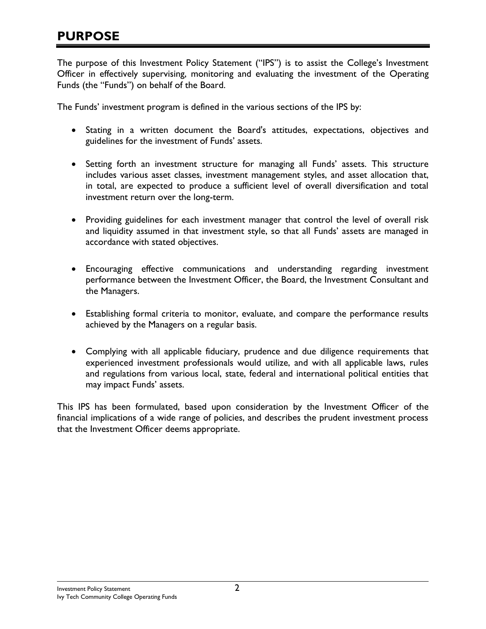The purpose of this Investment Policy Statement ("IPS") is to assist the College's Investment Officer in effectively supervising, monitoring and evaluating the investment of the Operating Funds (the "Funds") on behalf of the Board.

The Funds' investment program is defined in the various sections of the IPS by:

- Stating in a written document the Board's attitudes, expectations, objectives and guidelines for the investment of Funds' assets.
- Setting forth an investment structure for managing all Funds' assets. This structure includes various asset classes, investment management styles, and asset allocation that, in total, are expected to produce a sufficient level of overall diversification and total investment return over the long-term.
- Providing guidelines for each investment manager that control the level of overall risk and liquidity assumed in that investment style, so that all Funds' assets are managed in accordance with stated objectives.
- Encouraging effective communications and understanding regarding investment performance between the Investment Officer, the Board, the Investment Consultant and the Managers.
- Establishing formal criteria to monitor, evaluate, and compare the performance results achieved by the Managers on a regular basis.
- Complying with all applicable fiduciary, prudence and due diligence requirements that experienced investment professionals would utilize, and with all applicable laws, rules and regulations from various local, state, federal and international political entities that may impact Funds' assets.

This IPS has been formulated, based upon consideration by the Investment Officer of the financial implications of a wide range of policies, and describes the prudent investment process that the Investment Officer deems appropriate.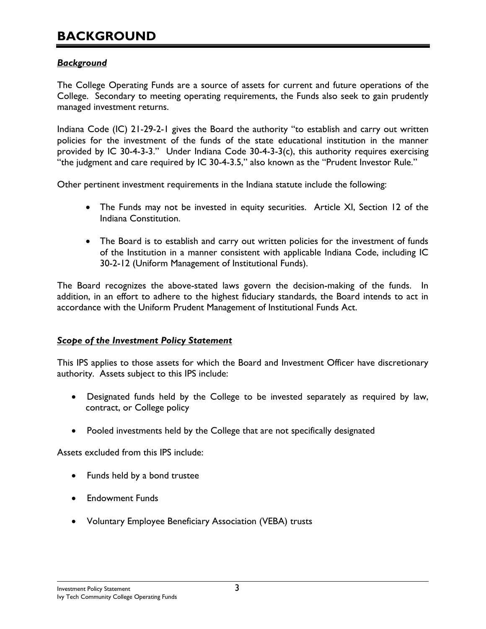### **BACKGROUND**

#### *Background*

The College Operating Funds are a source of assets for current and future operations of the College. Secondary to meeting operating requirements, the Funds also seek to gain prudently managed investment returns.

Indiana Code (IC) 21-29-2-1 gives the Board the authority "to establish and carry out written policies for the investment of the funds of the state educational institution in the manner provided by IC 30-4-3-3." Under Indiana Code 30-4-3-3(c), this authority requires exercising "the judgment and care required by IC 30-4-3.5," also known as the "Prudent Investor Rule."

Other pertinent investment requirements in the Indiana statute include the following:

- The Funds may not be invested in equity securities. Article XI, Section 12 of the Indiana Constitution.
- The Board is to establish and carry out written policies for the investment of funds of the Institution in a manner consistent with applicable Indiana Code, including IC 30-2-12 (Uniform Management of Institutional Funds).

The Board recognizes the above-stated laws govern the decision-making of the funds. In addition, in an effort to adhere to the highest fiduciary standards, the Board intends to act in accordance with the Uniform Prudent Management of Institutional Funds Act.

#### *Scope of the Investment Policy Statement*

This IPS applies to those assets for which the Board and Investment Officer have discretionary authority. Assets subject to this IPS include:

- Designated funds held by the College to be invested separately as required by law, contract, or College policy
- Pooled investments held by the College that are not specifically designated

Assets excluded from this IPS include:

- Funds held by a bond trustee
- Endowment Funds
- Voluntary Employee Beneficiary Association (VEBA) trusts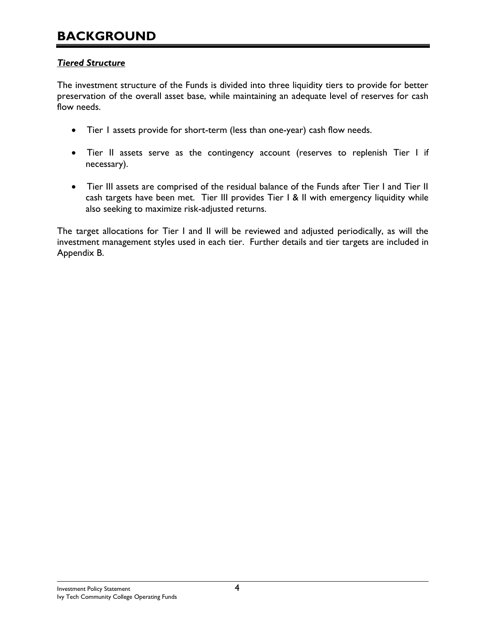### **BACKGROUND**

#### *Tiered Structure*

The investment structure of the Funds is divided into three liquidity tiers to provide for better preservation of the overall asset base, while maintaining an adequate level of reserves for cash flow needs.

- Tier 1 assets provide for short-term (less than one-year) cash flow needs.
- Tier II assets serve as the contingency account (reserves to replenish Tier I if necessary).
- Tier III assets are comprised of the residual balance of the Funds after Tier I and Tier II cash targets have been met. Tier III provides Tier I & II with emergency liquidity while also seeking to maximize risk-adjusted returns.

The target allocations for Tier I and II will be reviewed and adjusted periodically, as will the investment management styles used in each tier. Further details and tier targets are included in Appendix B.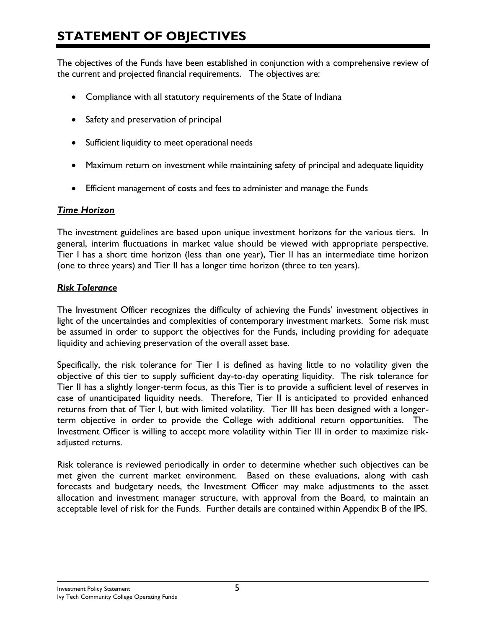# **STATEMENT OF OBJECTIVES**

The objectives of the Funds have been established in conjunction with a comprehensive review of the current and projected financial requirements. The objectives are:

- Compliance with all statutory requirements of the State of Indiana
- Safety and preservation of principal
- Sufficient liquidity to meet operational needs
- Maximum return on investment while maintaining safety of principal and adequate liquidity
- Efficient management of costs and fees to administer and manage the Funds

#### *Time Horizon*

The investment guidelines are based upon unique investment horizons for the various tiers. In general, interim fluctuations in market value should be viewed with appropriate perspective. Tier I has a short time horizon (less than one year), Tier II has an intermediate time horizon (one to three years) and Tier II has a longer time horizon (three to ten years).

#### *Risk Tolerance*

The Investment Officer recognizes the difficulty of achieving the Funds' investment objectives in light of the uncertainties and complexities of contemporary investment markets. Some risk must be assumed in order to support the objectives for the Funds, including providing for adequate liquidity and achieving preservation of the overall asset base.

Specifically, the risk tolerance for Tier I is defined as having little to no volatility given the objective of this tier to supply sufficient day-to-day operating liquidity. The risk tolerance for Tier II has a slightly longer-term focus, as this Tier is to provide a sufficient level of reserves in case of unanticipated liquidity needs. Therefore, Tier II is anticipated to provided enhanced returns from that of Tier I, but with limited volatility. Tier III has been designed with a longerterm objective in order to provide the College with additional return opportunities. The Investment Officer is willing to accept more volatility within Tier III in order to maximize riskadiusted returns.

Risk tolerance is reviewed periodically in order to determine whether such objectives can be met given the current market environment. Based on these evaluations, along with cash forecasts and budgetary needs, the Investment Officer may make adjustments to the asset allocation and investment manager structure, with approval from the Board, to maintain an acceptable level of risk for the Funds. Further details are contained within Appendix B of the IPS.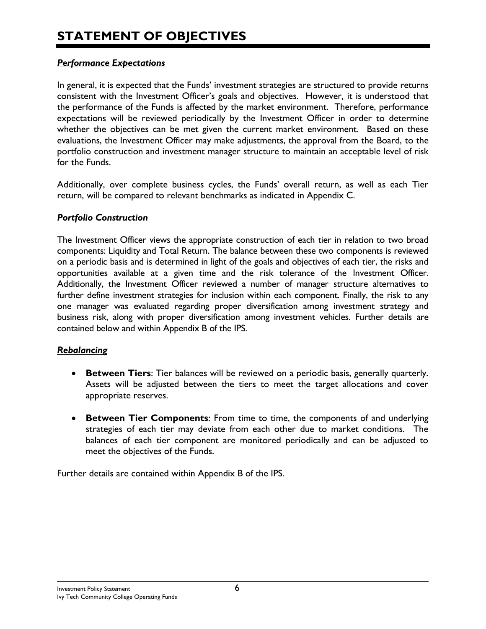#### *Performance Expectations*

In general, it is expected that the Funds' investment strategies are structured to provide returns consistent with the Investment Officer's goals and objectives. However, it is understood that the performance of the Funds is affected by the market environment. Therefore, performance expectations will be reviewed periodically by the Investment Officer in order to determine whether the objectives can be met given the current market environment. Based on these evaluations, the Investment Officer may make adjustments, the approval from the Board, to the portfolio construction and investment manager structure to maintain an acceptable level of risk for the Funds.

Additionally, over complete business cycles, the Funds' overall return, as well as each Tier return, will be compared to relevant benchmarks as indicated in Appendix C.

#### *Portfolio Construction*

The Investment Officer views the appropriate construction of each tier in relation to two broad components: Liquidity and Total Return. The balance between these two components is reviewed on a periodic basis and is determined in light of the goals and objectives of each tier, the risks and opportunities available at a given time and the risk tolerance of the Investment Officer. Additionally, the Investment Officer reviewed a number of manager structure alternatives to further define investment strategies for inclusion within each component. Finally, the risk to any one manager was evaluated regarding proper diversification among investment strategy and business risk, along with proper diversification among investment vehicles. Further details are contained below and within Appendix B of the IPS.

#### *Rebalancing*

- **Between Tiers**: Tier balances will be reviewed on a periodic basis, generally quarterly. Assets will be adjusted between the tiers to meet the target allocations and cover appropriate reserves.
- **Between Tier Components**: From time to time, the components of and underlying strategies of each tier may deviate from each other due to market conditions. The balances of each tier component are monitored periodically and can be adjusted to meet the objectives of the Funds.

Further details are contained within Appendix B of the IPS.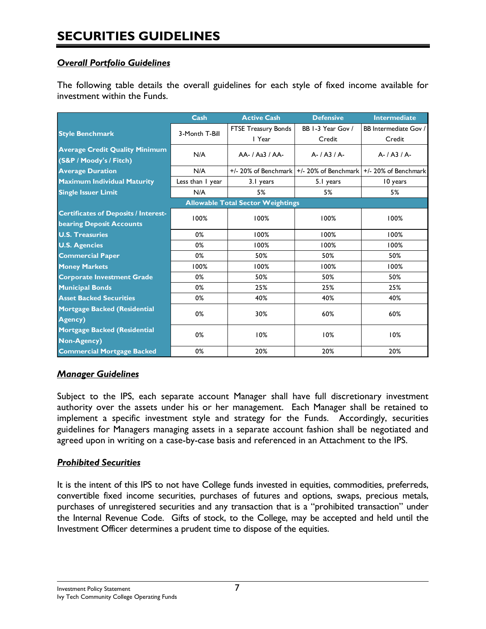#### *Overall Portfolio Guidelines*

The following table details the overall guidelines for each style of fixed income available for investment within the Funds.

|                                                                                | Cash             | <b>Active Cash</b>                    | <b>Defensive</b>                                                        | <b>Intermediate</b>   |  |  |  |
|--------------------------------------------------------------------------------|------------------|---------------------------------------|-------------------------------------------------------------------------|-----------------------|--|--|--|
| <b>Style Benchmark</b>                                                         | 3-Month T-Bill   | FTSE Treasury Bonds                   | BB 1-3 Year Gov /                                                       | BB Intermediate Gov / |  |  |  |
|                                                                                |                  | I Year                                | Credit                                                                  | Credit                |  |  |  |
| <b>Average Credit Quality Minimum</b><br>(S&P / Moody's / Fitch)               | N/A              | $AA$ -/ $A$ <sub>3</sub> $3$ / $AA$ - | $A - / A3 / A$                                                          | $A - I A3 / A$        |  |  |  |
| <b>Average Duration</b>                                                        | N/A              |                                       | $+/- 20\%$ of Benchmark $+/- 20\%$ of Benchmark $+/- 20\%$ of Benchmark |                       |  |  |  |
| <b>Maximum Individual Maturity</b>                                             | Less than I year | 3.1 years                             | 5.1 years                                                               | 10 years              |  |  |  |
| <b>Single Issuer Limit</b>                                                     | N/A              | 5%                                    | 5%                                                                      | 5%                    |  |  |  |
| <b>Allowable Total Sector Weightings</b>                                       |                  |                                       |                                                                         |                       |  |  |  |
| <b>Certificates of Deposits / Interest-</b><br><b>bearing Deposit Accounts</b> | 100%             | 100%                                  | 100%                                                                    | 100%                  |  |  |  |
| <b>U.S. Treasuries</b>                                                         | 0%               | 100%                                  | 100%                                                                    | 100%                  |  |  |  |
| <b>U.S. Agencies</b>                                                           | 0%               | 100%                                  | 100%                                                                    | 100%                  |  |  |  |
| <b>Commercial Paper</b>                                                        | 0%               | 50%                                   | 50%                                                                     | 50%                   |  |  |  |
| <b>Money Markets</b>                                                           | 100%             | 100%                                  | 100%                                                                    | 100%                  |  |  |  |
| <b>Corporate Investment Grade</b>                                              | 0%               | 50%                                   | 50%                                                                     | 50%                   |  |  |  |
| <b>Municipal Bonds</b>                                                         | 0%               | 25%                                   | 25%                                                                     | 25%                   |  |  |  |
| <b>Asset Backed Securities</b>                                                 | 0%               | 40%                                   | 40%                                                                     | 40%                   |  |  |  |
| <b>Mortgage Backed (Residential</b><br><b>Agency</b> )                         | 0%               | 30%                                   | 60%                                                                     | 60%                   |  |  |  |
| <b>Mortgage Backed (Residential</b><br><b>Non-Agency</b> )                     | 0%               | 10%                                   | 10%                                                                     | 10%                   |  |  |  |
| <b>Commercial Mortgage Backed</b>                                              | 0%               | 20%                                   | 20%                                                                     | 20%                   |  |  |  |

#### *Manager Guidelines*

Subject to the IPS, each separate account Manager shall have full discretionary investment authority over the assets under his or her management. Each Manager shall be retained to implement a specific investment style and strategy for the Funds. Accordingly, securities guidelines for Managers managing assets in a separate account fashion shall be negotiated and agreed upon in writing on a case-by-case basis and referenced in an Attachment to the IPS.

#### *Prohibited Securities*

It is the intent of this IPS to not have College funds invested in equities, commodities, preferreds, convertible fixed income securities, purchases of futures and options, swaps, precious metals, purchases of unregistered securities and any transaction that is a "prohibited transaction" under the Internal Revenue Code. Gifts of stock, to the College, may be accepted and held until the Investment Officer determines a prudent time to dispose of the equities.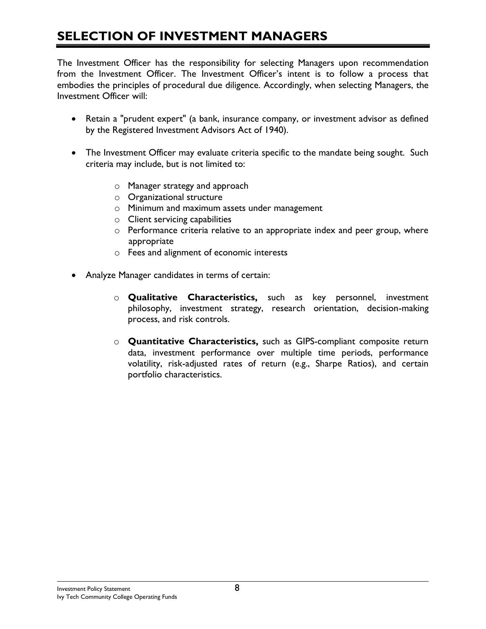# **SELECTION OF INVESTMENT MANAGERS**

The Investment Officer has the responsibility for selecting Managers upon recommendation from the Investment Officer. The Investment Officer's intent is to follow a process that embodies the principles of procedural due diligence. Accordingly, when selecting Managers, the Investment Officer will:

- Retain a "prudent expert" (a bank, insurance company, or investment advisor as defined by the Registered Investment Advisors Act of 1940).
- The Investment Officer may evaluate criteria specific to the mandate being sought. Such criteria may include, but is not limited to:
	- o Manager strategy and approach
	- o Organizational structure
	- o Minimum and maximum assets under management
	- o Client servicing capabilities
	- o Performance criteria relative to an appropriate index and peer group, where appropriate
	- o Fees and alignment of economic interests
- Analyze Manager candidates in terms of certain:
	- o **Qualitative Characteristics,** such as key personnel, investment philosophy, investment strategy, research orientation, decision-making process, and risk controls.
	- o **Quantitative Characteristics,** such as GIPS-compliant composite return data, investment performance over multiple time periods, performance volatility, risk-adjusted rates of return (e.g., Sharpe Ratios), and certain portfolio characteristics.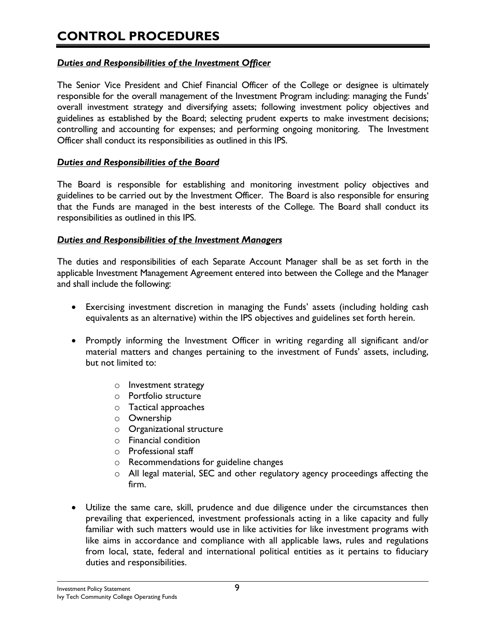# **CONTROL PROCEDURES**

#### *Duties and Responsibilities of the Investment Officer*

The Senior Vice President and Chief Financial Officer of the College or designee is ultimately responsible for the overall management of the Investment Program including: managing the Funds' overall investment strategy and diversifying assets; following investment policy objectives and guidelines as established by the Board; selecting prudent experts to make investment decisions; controlling and accounting for expenses; and performing ongoing monitoring. The Investment Officer shall conduct its responsibilities as outlined in this IPS.

#### *Duties and Responsibilities of the Board*

The Board is responsible for establishing and monitoring investment policy objectives and guidelines to be carried out by the Investment Officer. The Board is also responsible for ensuring that the Funds are managed in the best interests of the College. The Board shall conduct its responsibilities as outlined in this IPS.

#### *Duties and Responsibilities of the Investment Managers*

The duties and responsibilities of each Separate Account Manager shall be as set forth in the applicable Investment Management Agreement entered into between the College and the Manager and shall include the following:

- Exercising investment discretion in managing the Funds' assets (including holding cash equivalents as an alternative) within the IPS objectives and guidelines set forth herein.
- Promptly informing the Investment Officer in writing regarding all significant and/or material matters and changes pertaining to the investment of Funds' assets, including, but not limited to:
	- o Investment strategy
	- o Portfolio structure
	- o Tactical approaches
	- o Ownership
	- o Organizational structure
	- o Financial condition
	- o Professional staff
	- o Recommendations for guideline changes
	- o All legal material, SEC and other regulatory agency proceedings affecting the firm.
- Utilize the same care, skill, prudence and due diligence under the circumstances then prevailing that experienced, investment professionals acting in a like capacity and fully familiar with such matters would use in like activities for like investment programs with like aims in accordance and compliance with all applicable laws, rules and regulations from local, state, federal and international political entities as it pertains to fiduciary duties and responsibilities.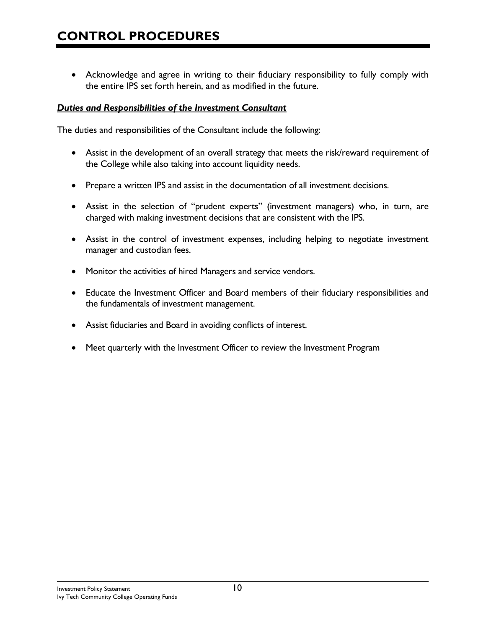• Acknowledge and agree in writing to their fiduciary responsibility to fully comply with the entire IPS set forth herein, and as modified in the future.

#### *Duties and Responsibilities of the Investment Consultant*

The duties and responsibilities of the Consultant include the following:

- Assist in the development of an overall strategy that meets the risk/reward requirement of the College while also taking into account liquidity needs.
- Prepare a written IPS and assist in the documentation of all investment decisions.
- Assist in the selection of "prudent experts" (investment managers) who, in turn, are charged with making investment decisions that are consistent with the IPS.
- Assist in the control of investment expenses, including helping to negotiate investment manager and custodian fees.
- Monitor the activities of hired Managers and service vendors.
- Educate the Investment Officer and Board members of their fiduciary responsibilities and the fundamentals of investment management.
- Assist fiduciaries and Board in avoiding conflicts of interest.
- Meet quarterly with the Investment Officer to review the Investment Program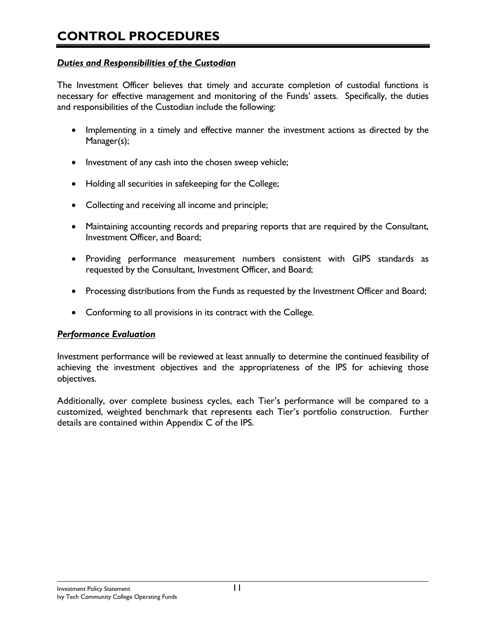#### *Duties and Responsibilities of the Custodian*

The Investment Officer believes that timely and accurate completion of custodial functions is necessary for effective management and monitoring of the Funds' assets. Specifically, the duties and responsibilities of the Custodian include the following:

- Implementing in a timely and effective manner the investment actions as directed by the Manager(s);
- Investment of any cash into the chosen sweep vehicle;
- Holding all securities in safekeeping for the College;
- Collecting and receiving all income and principle;
- Maintaining accounting records and preparing reports that are required by the Consultant, Investment Officer, and Board;
- Providing performance measurement numbers consistent with GIPS standards as requested by the Consultant, Investment Officer, and Board;
- Processing distributions from the Funds as requested by the Investment Officer and Board;
- Conforming to all provisions in its contract with the College.

#### *Performance Evaluation*

Investment performance will be reviewed at least annually to determine the continued feasibility of achieving the investment objectives and the appropriateness of the IPS for achieving those objectives.

Additionally, over complete business cycles, each Tier's performance will be compared to a customized, weighted benchmark that represents each Tier's portfolio construction. Further details are contained within Appendix C of the IPS.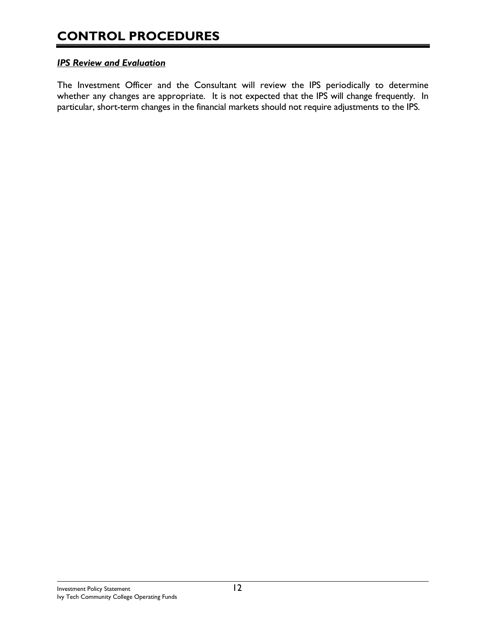#### *IPS Review and Evaluation*

The Investment Officer and the Consultant will review the IPS periodically to determine whether any changes are appropriate. It is not expected that the IPS will change frequently. In particular, short-term changes in the financial markets should not require adjustments to the IPS.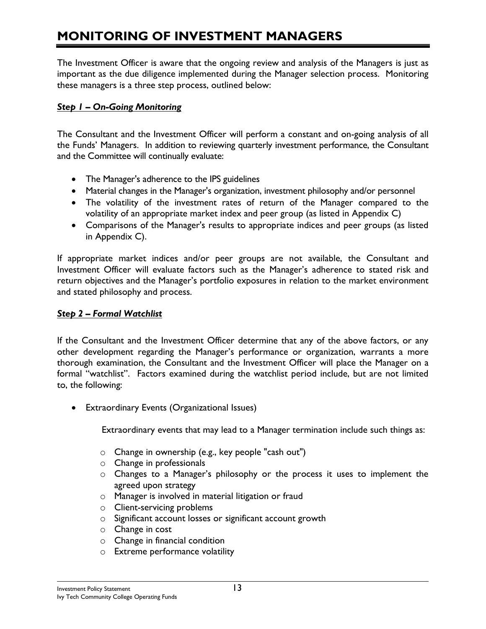# **MONITORING OF INVESTMENT MANAGERS**

The Investment Officer is aware that the ongoing review and analysis of the Managers is just as important as the due diligence implemented during the Manager selection process. Monitoring these managers is a three step process, outlined below:

#### *Step 1 – On-Going Monitoring*

The Consultant and the Investment Officer will perform a constant and on-going analysis of all the Funds' Managers. In addition to reviewing quarterly investment performance, the Consultant and the Committee will continually evaluate:

- The Manager's adherence to the IPS guidelines
- Material changes in the Manager's organization, investment philosophy and/or personnel
- The volatility of the investment rates of return of the Manager compared to the volatility of an appropriate market index and peer group (as listed in Appendix C)
- Comparisons of the Manager's results to appropriate indices and peer groups (as listed in Appendix C).

If appropriate market indices and/or peer groups are not available, the Consultant and Investment Officer will evaluate factors such as the Manager's adherence to stated risk and return objectives and the Manager's portfolio exposures in relation to the market environment and stated philosophy and process.

#### *Step 2 – Formal Watchlist*

If the Consultant and the Investment Officer determine that any of the above factors, or any other development regarding the Manager's performance or organization, warrants a more thorough examination, the Consultant and the Investment Officer will place the Manager on a formal "watchlist". Factors examined during the watchlist period include, but are not limited to, the following:

• Extraordinary Events (Organizational Issues)

Extraordinary events that may lead to a Manager termination include such things as:

- o Change in ownership (e.g., key people "cash out")
- o Change in professionals
- o Changes to a Manager's philosophy or the process it uses to implement the agreed upon strategy
- o Manager is involved in material litigation or fraud
- o Client-servicing problems
- o Significant account losses or significant account growth
- o Change in cost
- o Change in financial condition
- o Extreme performance volatility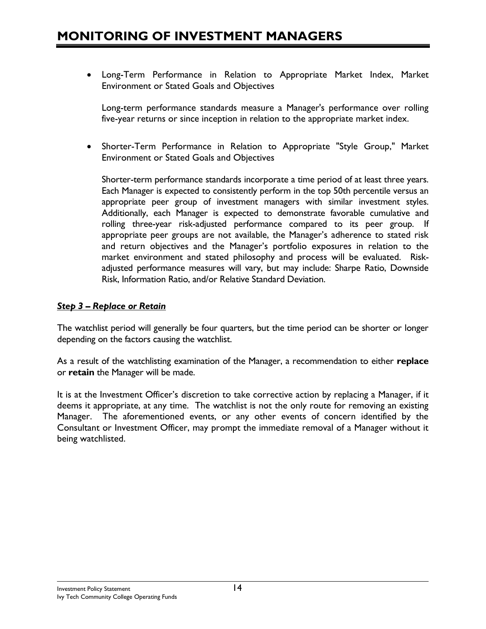### **MONITORING OF INVESTMENT MANAGERS**

• Long-Term Performance in Relation to Appropriate Market Index, Market Environment or Stated Goals and Objectives

Long-term performance standards measure a Manager's performance over rolling five-year returns or since inception in relation to the appropriate market index.

• Shorter-Term Performance in Relation to Appropriate "Style Group," Market Environment or Stated Goals and Objectives

Shorter-term performance standards incorporate a time period of at least three years. Each Manager is expected to consistently perform in the top 50th percentile versus an appropriate peer group of investment managers with similar investment styles. Additionally, each Manager is expected to demonstrate favorable cumulative and rolling three-year risk-adjusted performance compared to its peer group. If appropriate peer groups are not available, the Manager's adherence to stated risk and return objectives and the Manager's portfolio exposures in relation to the market environment and stated philosophy and process will be evaluated. Riskadjusted performance measures will vary, but may include: Sharpe Ratio, Downside Risk, Information Ratio, and/or Relative Standard Deviation.

#### *Step 3 – Replace or Retain*

The watchlist period will generally be four quarters, but the time period can be shorter or longer depending on the factors causing the watchlist.

As a result of the watchlisting examination of the Manager, a recommendation to either **replace** or **retain** the Manager will be made.

It is at the Investment Officer's discretion to take corrective action by replacing a Manager, if it deems it appropriate, at any time. The watchlist is not the only route for removing an existing Manager. The aforementioned events, or any other events of concern identified by the Consultant or Investment Officer, may prompt the immediate removal of a Manager without it being watchlisted.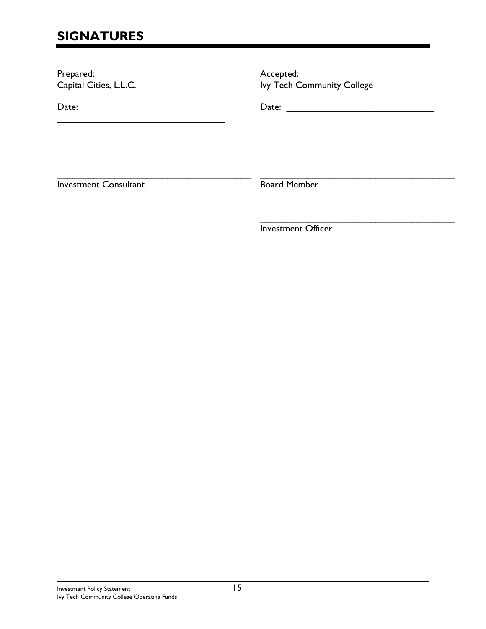# **SIGNATURES**

Prepared: Capital Cities, L.L.C.

\_\_\_\_\_\_\_\_\_\_\_\_\_\_\_\_\_\_\_\_\_\_\_\_\_\_\_\_\_\_\_\_

Date:

Accepted: Ivy Tech Community College

Date: \_\_\_\_\_\_\_\_\_\_\_\_\_\_\_\_\_\_\_\_\_\_\_\_\_\_\_\_

\_\_\_\_\_\_\_\_\_\_\_\_\_\_\_\_\_\_\_\_\_\_\_\_\_\_\_\_\_\_\_\_\_\_\_\_\_ Investment Consultant

\_\_\_\_\_\_\_\_\_\_\_\_\_\_\_\_\_\_\_\_\_\_\_\_\_\_\_\_\_\_\_\_\_\_\_\_\_ Board Member

Investment Officer

 $\mathcal{L}_\text{max}$  and  $\mathcal{L}_\text{max}$  and  $\mathcal{L}_\text{max}$  and  $\mathcal{L}_\text{max}$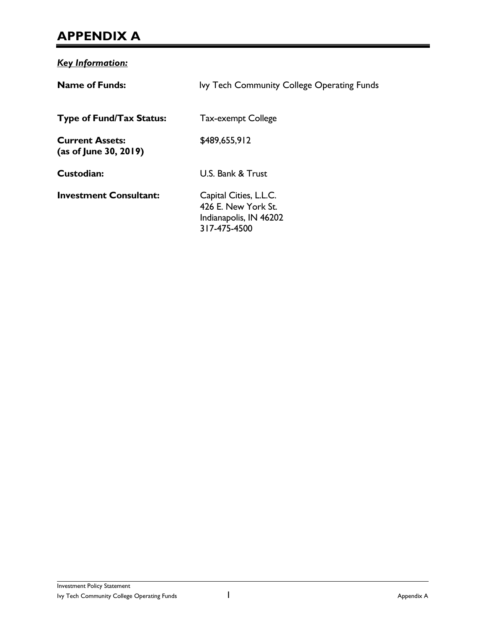### **APPENDIX A**

*Key Information:* **Name of Funds:** Ivy Tech Community College Operating Funds **Type of Fund/Tax Status:** Tax-exempt College **Current Assets:** \$489,655,912 **(as of June 30, 2019) Custodian:** U.S. Bank & Trust **Investment Consultant:** Capital Cities, L.L.C. 426 E. New York St. Indianapolis, IN 46202 317-475-4500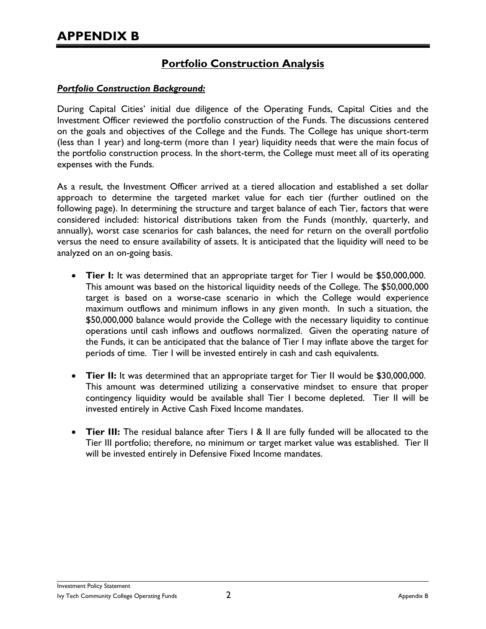### **Portfolio Construction Analysis**

#### *Portfolio Construction Background:*

During Capital Cities' initial due diligence of the Operating Funds, Capital Cities and the Investment Officer reviewed the portfolio construction of the Funds. The discussions centered on the goals and objectives of the College and the Funds. The College has unique short-term (less than 1 year) and long-term (more than 1 year) liquidity needs that were the main focus of the portfolio construction process. In the short-term, the College must meet all of its operating expenses with the Funds.

As a result, the Investment Officer arrived at a tiered allocation and established a set dollar approach to determine the targeted market value for each tier (further outlined on the following page). In determining the structure and target balance of each Tier, factors that were considered included: historical distributions taken from the Funds (monthly, quarterly, and annually), worst case scenarios for cash balances, the need for return on the overall portfolio versus the need to ensure availability of assets. It is anticipated that the liquidity will need to be analyzed on an on-going basis.

- **Tier I:** It was determined that an appropriate target for Tier I would be \$50,000,000. This amount was based on the historical liquidity needs of the College. The \$50,000,000 target is based on a worse-case scenario in which the College would experience maximum outflows and minimum inflows in any given month. In such a situation, the \$50,000,000 balance would provide the College with the necessary liquidity to continue operations until cash inflows and outflows normalized. Given the operating nature of the Funds, it can be anticipated that the balance of Tier I may inflate above the target for periods of time. Tier I will be invested entirely in cash and cash equivalents.
- **Tier II:** It was determined that an appropriate target for Tier II would be \$30,000,000. This amount was determined utilizing a conservative mindset to ensure that proper contingency liquidity would be available shall Tier I become depleted. Tier II will be invested entirely in Active Cash Fixed Income mandates.
- **Tier III:** The residual balance after Tiers I & II are fully funded will be allocated to the Tier III portfolio; therefore, no minimum or target market value was established. Tier II will be invested entirely in Defensive Fixed Income mandates.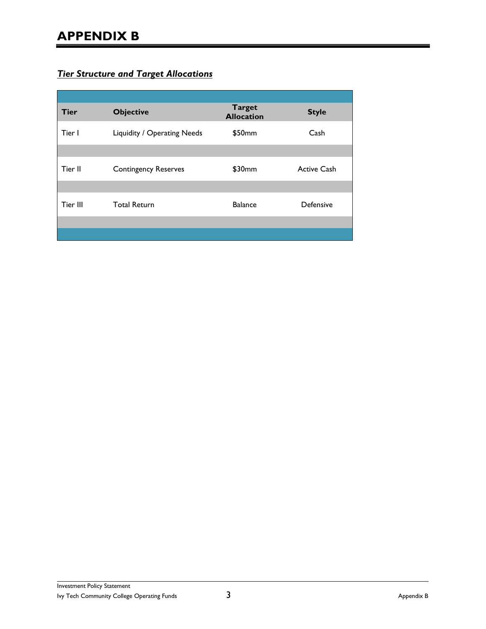# **APPENDIX B**

### *Tier Structure and Target Allocations*

| <b>Tier</b> | <b>Objective</b>            | <b>Target</b><br><b>Allocation</b> | <b>Style</b>       |
|-------------|-----------------------------|------------------------------------|--------------------|
| Tier I      | Liquidity / Operating Needs | \$50mm                             | Cash               |
|             |                             |                                    |                    |
| Tier II     | <b>Contingency Reserves</b> | \$30mm                             | <b>Active Cash</b> |
|             |                             |                                    |                    |
| Tier III    | <b>Total Return</b>         | <b>Balance</b>                     | Defensive          |
|             |                             |                                    |                    |
|             |                             |                                    |                    |